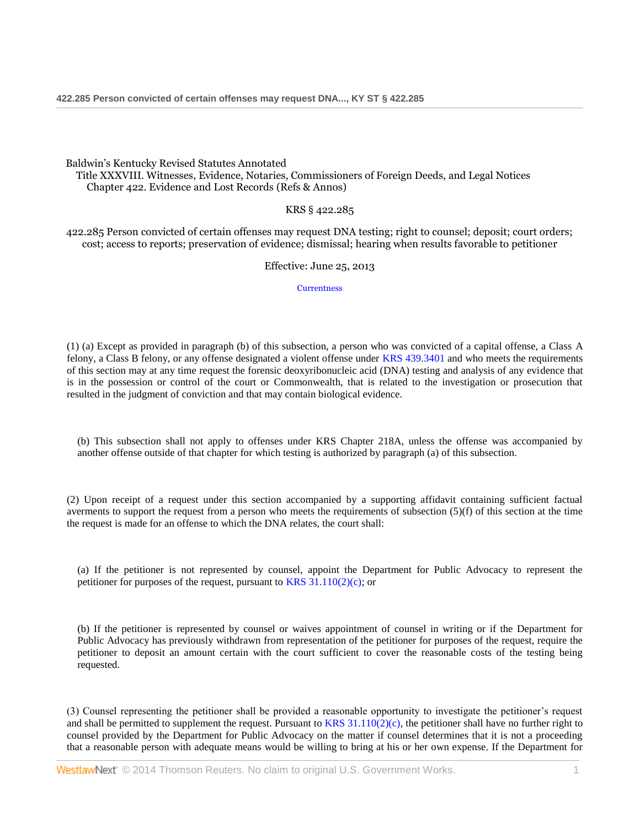## Baldwin's Kentucky Revised Statutes Annotated

Title XXXVIII. Witnesses, Evidence, Notaries, Commissioners of Foreign Deeds, and Legal Notices Chapter 422. Evidence and Lost Records (Refs & Annos)

## KRS § 422.285

422.285 Person convicted of certain offenses may request DNA testing; right to counsel; deposit; court orders; cost; access to reports; preservation of evidence; dismissal; hearing when results favorable to petitioner

Effective: June 25, 2013

**Currentness** 

(1) (a) Except as provided in paragraph (b) of this subsection, a person who was convicted of a capital offense, a Class A felony, a Class B felony, or any offense designated a violent offense under KRS 439.3401 and who meets the requirements of this section may at any time request the forensic deoxyribonucleic acid (DNA) testing and analysis of any evidence that is in the possession or control of the court or Commonwealth, that is related to the investigation or prosecution that resulted in the judgment of conviction and that may contain biological evidence.

(b) This subsection shall not apply to offenses under KRS Chapter 218A, unless the offense was accompanied by another offense outside of that chapter for which testing is authorized by paragraph (a) of this subsection.

(2) Upon receipt of a request under this section accompanied by a supporting affidavit containing sufficient factual averments to support the request from a person who meets the requirements of subsection (5)(f) of this section at the time the request is made for an offense to which the DNA relates, the court shall:

(a) If the petitioner is not represented by counsel, appoint the Department for Public Advocacy to represent the petitioner for purposes of the request, pursuant to KRS  $31.110(2)(c)$ ; or

(b) If the petitioner is represented by counsel or waives appointment of counsel in writing or if the Department for Public Advocacy has previously withdrawn from representation of the petitioner for purposes of the request, require the petitioner to deposit an amount certain with the court sufficient to cover the reasonable costs of the testing being requested.

(3) Counsel representing the petitioner shall be provided a reasonable opportunity to investigate the petitioner's request and shall be permitted to supplement the request. Pursuant to KRS  $31.110(2)(c)$ , the petitioner shall have no further right to counsel provided by the Department for Public Advocacy on the matter if counsel determines that it is not a proceeding that a reasonable person with adequate means would be willing to bring at his or her own expense. If the Department for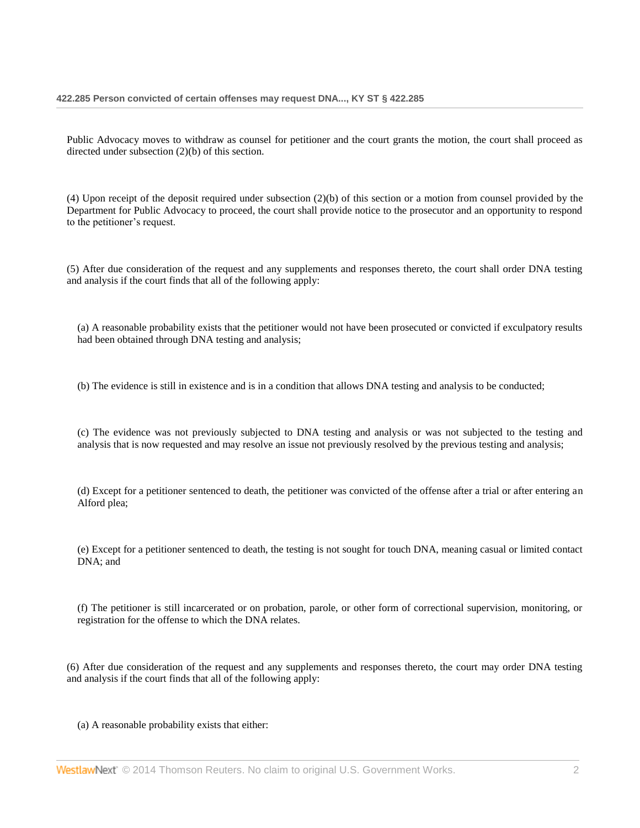Public Advocacy moves to withdraw as counsel for petitioner and the court grants the motion, the court shall proceed as directed under subsection (2)(b) of this section.

(4) Upon receipt of the deposit required under subsection (2)(b) of this section or a motion from counsel provided by the Department for Public Advocacy to proceed, the court shall provide notice to the prosecutor and an opportunity to respond to the petitioner's request.

(5) After due consideration of the request and any supplements and responses thereto, the court shall order DNA testing and analysis if the court finds that all of the following apply:

(a) A reasonable probability exists that the petitioner would not have been prosecuted or convicted if exculpatory results had been obtained through DNA testing and analysis;

(b) The evidence is still in existence and is in a condition that allows DNA testing and analysis to be conducted;

(c) The evidence was not previously subjected to DNA testing and analysis or was not subjected to the testing and analysis that is now requested and may resolve an issue not previously resolved by the previous testing and analysis;

(d) Except for a petitioner sentenced to death, the petitioner was convicted of the offense after a trial or after entering an Alford plea;

(e) Except for a petitioner sentenced to death, the testing is not sought for touch DNA, meaning casual or limited contact DNA; and

(f) The petitioner is still incarcerated or on probation, parole, or other form of correctional supervision, monitoring, or registration for the offense to which the DNA relates.

(6) After due consideration of the request and any supplements and responses thereto, the court may order DNA testing and analysis if the court finds that all of the following apply:

(a) A reasonable probability exists that either: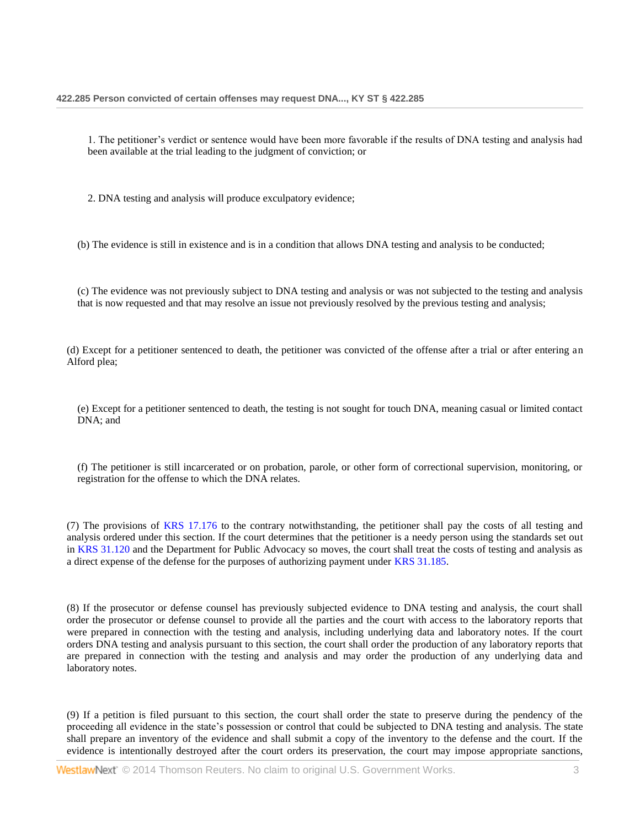1. The petitioner's verdict or sentence would have been more favorable if the results of DNA testing and analysis had been available at the trial leading to the judgment of conviction; or

2. DNA testing and analysis will produce exculpatory evidence;

(b) The evidence is still in existence and is in a condition that allows DNA testing and analysis to be conducted;

(c) The evidence was not previously subject to DNA testing and analysis or was not subjected to the testing and analysis that is now requested and that may resolve an issue not previously resolved by the previous testing and analysis;

(d) Except for a petitioner sentenced to death, the petitioner was convicted of the offense after a trial or after entering an Alford plea;

(e) Except for a petitioner sentenced to death, the testing is not sought for touch DNA, meaning casual or limited contact DNA; and

(f) The petitioner is still incarcerated or on probation, parole, or other form of correctional supervision, monitoring, or registration for the offense to which the DNA relates.

(7) The provisions of KRS 17.176 to the contrary notwithstanding, the petitioner shall pay the costs of all testing and analysis ordered under this section. If the court determines that the petitioner is a needy person using the standards set out in KRS 31.120 and the Department for Public Advocacy so moves, the court shall treat the costs of testing and analysis as a direct expense of the defense for the purposes of authorizing payment under KRS 31.185.

(8) If the prosecutor or defense counsel has previously subjected evidence to DNA testing and analysis, the court shall order the prosecutor or defense counsel to provide all the parties and the court with access to the laboratory reports that were prepared in connection with the testing and analysis, including underlying data and laboratory notes. If the court orders DNA testing and analysis pursuant to this section, the court shall order the production of any laboratory reports that are prepared in connection with the testing and analysis and may order the production of any underlying data and laboratory notes.

(9) If a petition is filed pursuant to this section, the court shall order the state to preserve during the pendency of the proceeding all evidence in the state's possession or control that could be subjected to DNA testing and analysis. The state shall prepare an inventory of the evidence and shall submit a copy of the inventory to the defense and the court. If the evidence is intentionally destroyed after the court orders its preservation, the court may impose appropriate sanctions,